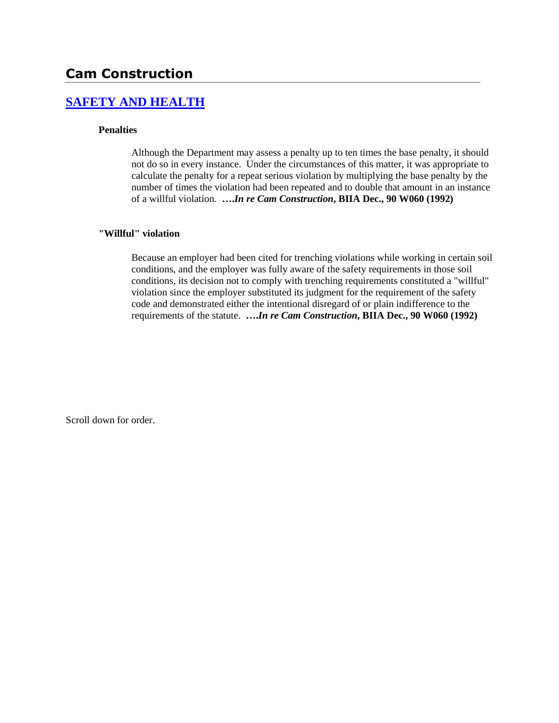# **Cam Construction**

## **[SAFETY AND HEALTH](http://www.biia.wa.gov/SDSubjectIndex.html#SAFETY_AND_HEALTH)**

## **Penalties**

Although the Department may assess a penalty up to ten times the base penalty, it should not do so in every instance. Under the circumstances of this matter, it was appropriate to calculate the penalty for a repeat serious violation by multiplying the base penalty by the number of times the violation had been repeated and to double that amount in an instance of a willful violation. **….***In re Cam Construction***, BIIA Dec., 90 W060 (1992)** 

## **"Willful" violation**

Because an employer had been cited for trenching violations while working in certain soil conditions, and the employer was fully aware of the safety requirements in those soil conditions, its decision not to comply with trenching requirements constituted a "willful" violation since the employer substituted its judgment for the requirement of the safety code and demonstrated either the intentional disregard of or plain indifference to the requirements of the statute. **….***In re Cam Construction***, BIIA Dec., 90 W060 (1992)**

Scroll down for order.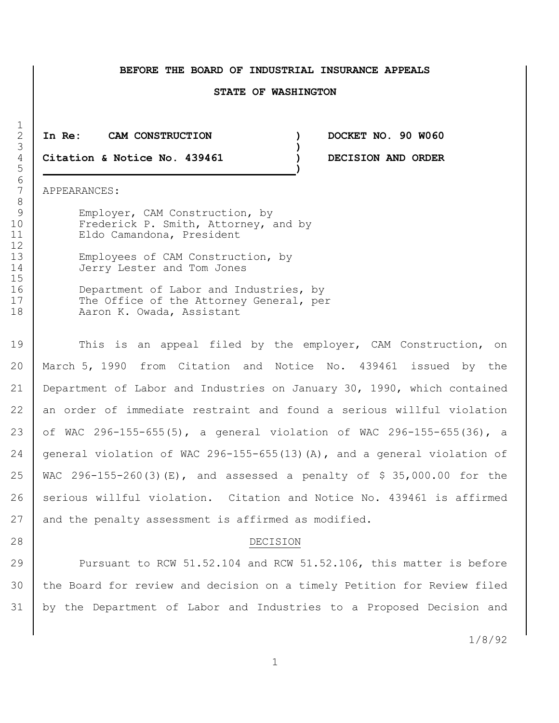#### **BEFORE THE BOARD OF INDUSTRIAL INSURANCE APPEALS**

#### **STATE OF WASHINGTON**

2 **In Re: CAM CONSTRUCTION ) DOCKET NO. 90 W060** 3 **)** 4 **Citation & Notice No. 439461 ) DECISION AND ORDER**

7 APPEARANCES:

9 Employer, CAM Construction, by 10 Frederick P. Smith, Attorney, and by 11 | Eldo Camandona, President

13 Employees of CAM Construction, by 14 Jerry Lester and Tom Jones

16 Department of Labor and Industries, by 17 | The Office of the Attorney General, per 18 | Aaron K. Owada, Assistant

 This is an appeal filed by the employer, CAM Construction, on March 5, 1990 from Citation and Notice No. 439461 issued by the Department of Labor and Industries on January 30, 1990, which contained an order of immediate restraint and found a serious willful violation of WAC 296-155-655(5), a general violation of WAC 296-155-655(36), a general violation of WAC 296-155-655(13)(A), and a general violation of WAC 296-155-260(3)(E), and assessed a penalty of \$ 35,000.00 for the 26 serious willful violation. Citation and Notice No. 439461 is affirmed 27 and the penalty assessment is affirmed as modified.

#### 28 DECISION

29 Pursuant to RCW 51.52.104 and RCW 51.52.106, this matter is before 30 | the Board for review and decision on a timely Petition for Review filed 31 by the Department of Labor and Industries to a Proposed Decision and

1/8/92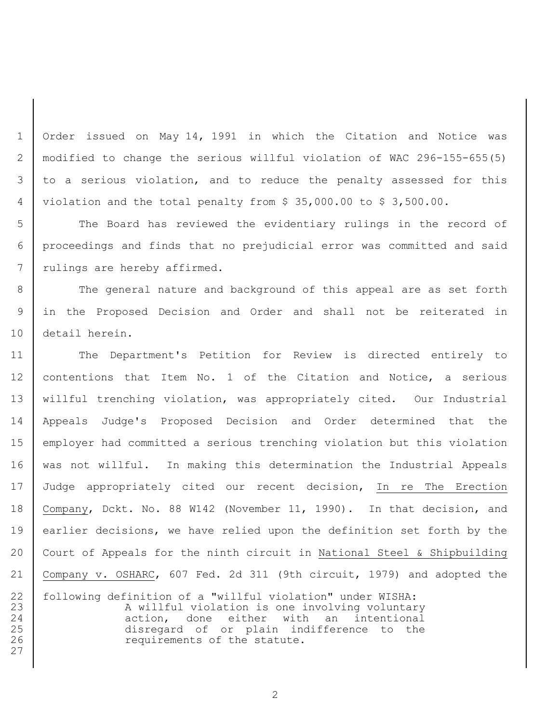Order issued on May 14, 1991 in which the Citation and Notice was modified to change the serious willful violation of WAC 296-155-655(5) 3 to a serious violation, and to reduce the penalty assessed for this violation and the total penalty from \$ 35,000.00 to \$ 3,500.00.

 The Board has reviewed the evidentiary rulings in the record of proceedings and finds that no prejudicial error was committed and said 7 | rulings are hereby affirmed.

8 The general nature and background of this appeal are as set forth in the Proposed Decision and Order and shall not be reiterated in detail herein.

 The Department's Petition for Review is directed entirely to 12 contentions that Item No. 1 of the Citation and Notice, a serious willful trenching violation, was appropriately cited. Our Industrial Appeals Judge's Proposed Decision and Order determined that the employer had committed a serious trenching violation but this violation was not willful. In making this determination the Industrial Appeals 17 Judge appropriately cited our recent decision, In re The Erection Company, Dckt. No. 88 W142 (November 11, 1990). In that decision, and earlier decisions, we have relied upon the definition set forth by the 20 | Court of Appeals for the ninth circuit in National Steel & Shipbuilding Company v. OSHARC, 607 Fed. 2d 311 (9th circuit, 1979) and adopted the

22 | following definition of a "willful violation" under WISHA: 23 | A willful violation is one involving voluntary 24 action, done either with an intentional disregard of or plain indifference to the **Paramele Exercise 126 requirements of the statute.**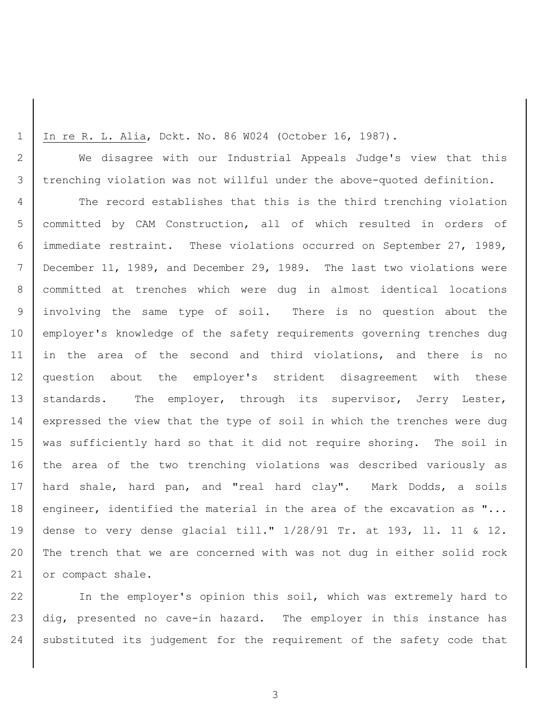1 In re R. L. Alia, Dckt. No. 86 W024 (October 16, 1987).

2 We disagree with our Industrial Appeals Judge's view that this 3 trenching violation was not willful under the above-quoted definition.

4 The record establishes that this is the third trenching violation 5 committed by CAM Construction, all of which resulted in orders of 6 immediate restraint. These violations occurred on September 27, 1989, 7 December 11, 1989, and December 29, 1989. The last two violations were 8 committed at trenches which were dug in almost identical locations 9 involving the same type of soil. There is no question about the 10 employer's knowledge of the safety requirements governing trenches dug 11 in the area of the second and third violations, and there is no 12 question about the employer's strident disagreement with these 13 | standards. The employer, through its supervisor, Jerry Lester, 14 expressed the view that the type of soil in which the trenches were dug 15 was sufficiently hard so that it did not require shoring. The soil in 16 the area of the two trenching violations was described variously as 17 | hard shale, hard pan, and "real hard clay". Mark Dodds, a soils 18 engineer, identified the material in the area of the excavation as "... 19 dense to very dense glacial till." 1/28/91 Tr. at 193, ll. 11 & 12. 20 The trench that we are concerned with was not dug in either solid rock 21 or compact shale.

22 In the employer's opinion this soil, which was extremely hard to 23 dig, presented no cave-in hazard. The employer in this instance has 24 substituted its judgement for the requirement of the safety code that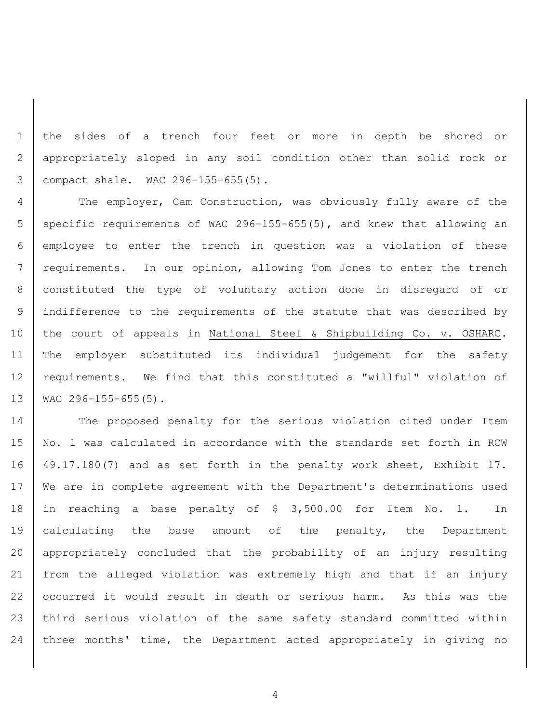the sides of a trench four feet or more in depth be shored or appropriately sloped in any soil condition other than solid rock or compact shale. WAC 296-155-655(5).

4 The employer, Cam Construction, was obviously fully aware of the 5 | specific requirements of WAC 296-155-655(5), and knew that allowing an employee to enter the trench in question was a violation of these 7 | requirements. In our opinion, allowing Tom Jones to enter the trench constituted the type of voluntary action done in disregard of or indifference to the requirements of the statute that was described by the court of appeals in National Steel & Shipbuilding Co. v. OSHARC. The employer substituted its individual judgement for the safety 12 | requirements. We find that this constituted a "willful" violation of 13 | WAC 296-155-655(5).

14 The proposed penalty for the serious violation cited under Item No. 1 was calculated in accordance with the standards set forth in RCW 49.17.180(7) and as set forth in the penalty work sheet, Exhibit 17. 17 | We are in complete agreement with the Department's determinations used in reaching a base penalty of \$ 3,500.00 for Item No. 1. In 19 | calculating the base amount of the penalty, the Department appropriately concluded that the probability of an injury resulting from the alleged violation was extremely high and that if an injury occurred it would result in death or serious harm. As this was the third serious violation of the same safety standard committed within three months' time, the Department acted appropriately in giving no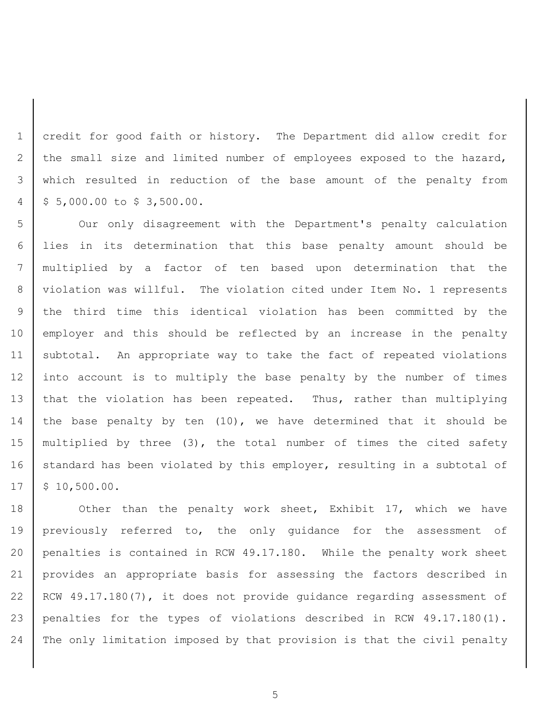credit for good faith or history. The Department did allow credit for 2 the small size and limited number of employees exposed to the hazard, which resulted in reduction of the base amount of the penalty from  $4 \mid 5 \; 5,000.00 \; \text{to} \; 5 \; 3,500.00.$ 

 Our only disagreement with the Department's penalty calculation lies in its determination that this base penalty amount should be multiplied by a factor of ten based upon determination that the violation was willful. The violation cited under Item No. 1 represents the third time this identical violation has been committed by the 10 employer and this should be reflected by an increase in the penalty subtotal. An appropriate way to take the fact of repeated violations into account is to multiply the base penalty by the number of times 13 that the violation has been repeated. Thus, rather than multiplying 14 the base penalty by ten  $(10)$ , we have determined that it should be multiplied by three (3), the total number of times the cited safety 16 standard has been violated by this employer, resulting in a subtotal of  $17 \mid $10,500.00.$ 

18 Other than the penalty work sheet, Exhibit 17, which we have previously referred to, the only guidance for the assessment of penalties is contained in RCW 49.17.180. While the penalty work sheet provides an appropriate basis for assessing the factors described in RCW 49.17.180(7), it does not provide guidance regarding assessment of penalties for the types of violations described in RCW 49.17.180(1). The only limitation imposed by that provision is that the civil penalty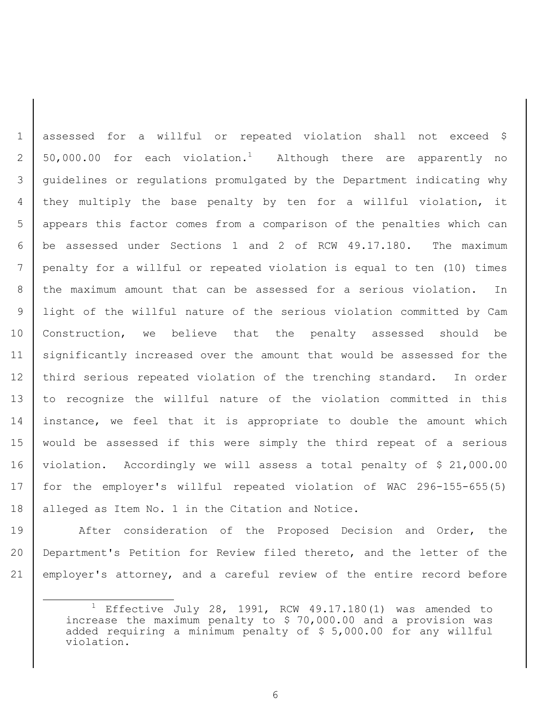assessed for a willful or repeated violation shall not exceed \$ 2 | 50,000.00 for each violation.<sup>1</sup> Although there are apparently no guidelines or regulations promulgated by the Department indicating why 4 | they multiply the base penalty by ten for a willful violation, it appears this factor comes from a comparison of the penalties which can be assessed under Sections 1 and 2 of RCW 49.17.180. The maximum penalty for a willful or repeated violation is equal to ten (10) times the maximum amount that can be assessed for a serious violation. In light of the willful nature of the serious violation committed by Cam Construction, we believe that the penalty assessed should be significantly increased over the amount that would be assessed for the 12 third serious repeated violation of the trenching standard. In order to recognize the willful nature of the violation committed in this 14 instance, we feel that it is appropriate to double the amount which would be assessed if this were simply the third repeat of a serious violation. Accordingly we will assess a total penalty of \$ 21,000.00 for the employer's willful repeated violation of WAC 296-155-655(5) 18 | alleged as Item No. 1 in the Citation and Notice.

19 After consideration of the Proposed Decision and Order, the 20 Department's Petition for Review filed thereto, and the letter of the 21 employer's attorney, and a careful review of the entire record before

i<br>L

<sup>&</sup>lt;sup>1</sup> Effective July 28, 1991, RCW 49.17.180(1) was amended to increase the maximum penalty to \$ 70,000.00 and a provision was added requiring a minimum penalty of \$ 5,000.00 for any willful violation.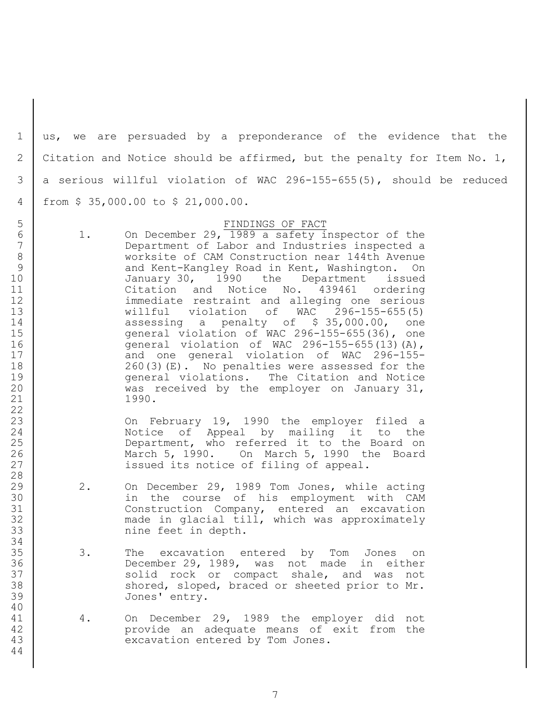us, we are persuaded by a preponderance of the evidence that the 2 Citation and Notice should be affirmed, but the penalty for Item No. 1, 3 a serious willful violation of WAC 296-155-655(5), should be reduced from \$ 35,000.00 to \$ 21,000.00.

### FINDINGS OF FACT

 1. On December 29, 1989 a safety inspector of the Department of Labor and Industries inspected a worksite of CAM Construction near 144th Avenue 9 and Kent-Kangley Road in Kent, Washington. On 10 January 30, 1990 the Department issued Citation and Notice No. 439461 ordering immediate restraint and alleging one serious willful violation of WAC 296-155-655(5) 14 assessing a penalty of \$ 35,000.00, one general violation of WAC 296-155-655(36), one general violation of WAC 296-155-655(13)(A), 17 | Cand one general violation of WAC 296-155- 260(3)(E). No penalties were assessed for the **general violations.** The Citation and Notice was received by the employer on January 31, 1990.

 On February 19, 1990 the employer filed a Notice of Appeal by mailing it to the 25 Department, who referred it to the Board on March 5, 1990. On March 5, 1990 the Board **issued its notice of filing of appeal.** 

- 2. On December 29, 1989 Tom Jones, while acting in the course of his employment with CAM Construction Company, entered an excavation made in glacial till, which was approximately 33 | nine feet in depth.
- 3. The excavation entered by Tom Jones on December 29, 1989, was not made in either 37 Solid rock or compact shale, and was not 38 Shored, sloped, braced or sheeted prior to Mr. Jones' entry.
- 4. On December 29, 1989 the employer did not provide an adequate means of exit from the 43 | excavation entered by Tom Jones.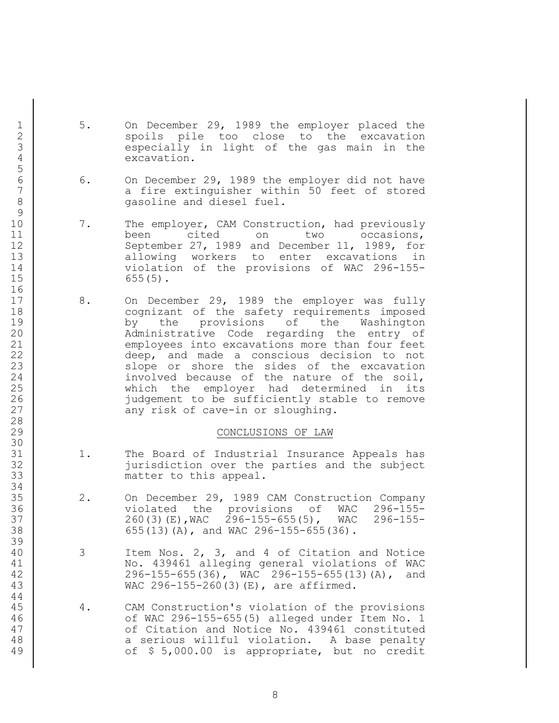- 1 5. On December 29, 1989 the employer placed the 2 spoils pile too close to the excavation<br>3 sespecially in light of the gas main in the especially in light of the gas main in the excavation.
- 6 6. On December 29, 1989 the employer did not have<br>7 a fire extinguisher within 50 feet of stored 7 a fire extinguisher within 50 feet of stored<br>8 gasoline and diesel fuel.
- 10 7. The employer, CAM Construction, had previously 11 been cited on two occasions, September 27, 1989 and December 11, 1989, for 13 allowing workers to enter excavations in violation of the provisions of WAC 296-155- 655(5).
- 17 8. On December 29, 1989 the employer was fully 18 | Cognizant of the safety requirements imposed by the provisions of the Washington Administrative Code regarding the entry of employees into excavations more than four feet deep, and made a conscious decision to not 23 Slope or shore the sides of the excavation 24 involved because of the nature of the soil, 25 | Which the employer had determined in its 26 | indgement to be sufficiently stable to remove 27 any risk of cave-in or sloughing.

## CONCLUSIONS OF LAW

- 1. The Board of Industrial Insurance Appeals has jurisdiction over the parties and the subject matter to this appeal.
- 2. On December 29, 1989 CAM Construction Company violated the provisions of WAC 296-155- 260(3)(E),WAC 296-155-655(5), WAC 296-155- 655(13)(A), and WAC 296-155-655(36).
- 3 Item Nos. 2, 3, and 4 of Citation and Notice No. 439461 alleging general violations of WAC 296-155-655(36), WAC 296-155-655(13)(A), and WAC 296-155-260(3)(E), are affirmed.
- 4. CAM Construction's violation of the provisions of WAC 296-155-655(5) alleged under Item No. 1 **of Citation and Notice No. 439461 constituted** 48 | a serious willful violation. A base penalty of \$ 5,000.00 is appropriate, but no credit